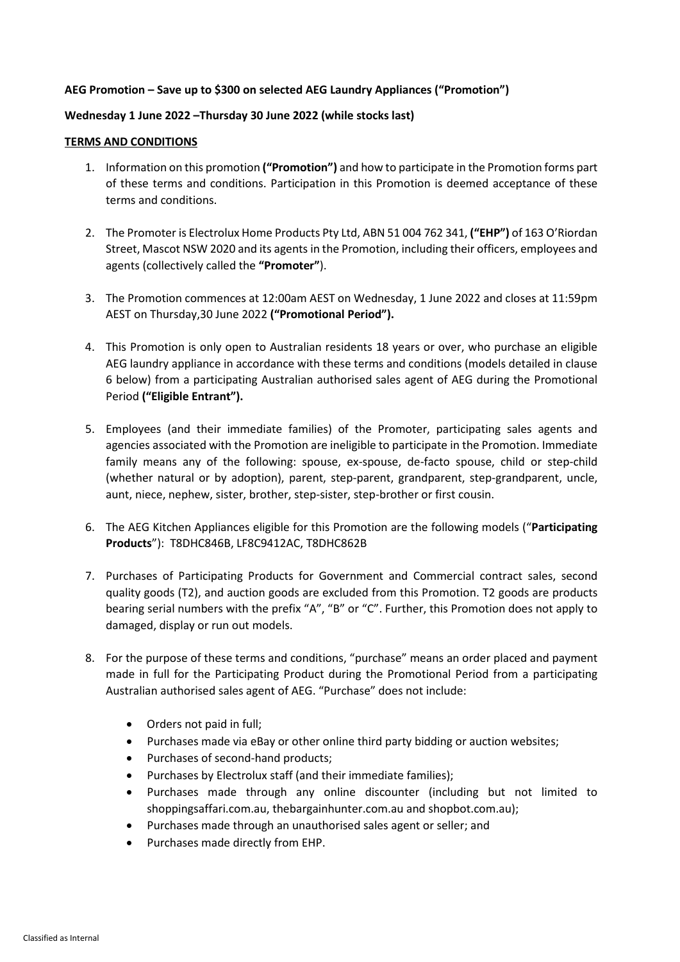## **AEG Promotion – Save up to \$300 on selected AEG Laundry Appliances ("Promotion")**

## **Wednesday 1 June 2022 –Thursday 30 June 2022 (while stocks last)**

## **TERMS AND CONDITIONS**

- 1. Information on this promotion **("Promotion")** and how to participate in the Promotion forms part of these terms and conditions. Participation in this Promotion is deemed acceptance of these terms and conditions.
- 2. The Promoter is Electrolux Home Products Pty Ltd, ABN 51 004 762 341, **("EHP")** of 163 O'Riordan Street, Mascot NSW 2020 and its agents in the Promotion, including their officers, employees and agents (collectively called the **"Promoter"**).
- 3. The Promotion commences at 12:00am AEST on Wednesday, 1 June 2022 and closes at 11:59pm AEST on Thursday,30 June 2022 **("Promotional Period").**
- 4. This Promotion is only open to Australian residents 18 years or over, who purchase an eligible AEG laundry appliance in accordance with these terms and conditions (models detailed in clause 6 below) from a participating Australian authorised sales agent of AEG during the Promotional Period **("Eligible Entrant").**
- 5. Employees (and their immediate families) of the Promoter, participating sales agents and agencies associated with the Promotion are ineligible to participate in the Promotion. Immediate family means any of the following: spouse, ex-spouse, de-facto spouse, child or step-child (whether natural or by adoption), parent, step-parent, grandparent, step-grandparent, uncle, aunt, niece, nephew, sister, brother, step-sister, step-brother or first cousin.
- 6. The AEG Kitchen Appliances eligible for this Promotion are the following models ("**Participating Products**"): T8DHC846B, LF8C9412AC, T8DHC862B
- 7. Purchases of Participating Products for Government and Commercial contract sales, second quality goods (T2), and auction goods are excluded from this Promotion. T2 goods are products bearing serial numbers with the prefix "A", "B" or "C". Further, this Promotion does not apply to damaged, display or run out models.
- 8. For the purpose of these terms and conditions, "purchase" means an order placed and payment made in full for the Participating Product during the Promotional Period from a participating Australian authorised sales agent of AEG. "Purchase" does not include:
	- Orders not paid in full;
	- Purchases made via eBay or other online third party bidding or auction websites;
	- Purchases of second-hand products;
	- Purchases by Electrolux staff (and their immediate families);
	- Purchases made through any online discounter (including but not limited to shoppingsaffari.com.au, thebargainhunter.com.au and shopbot.com.au);
	- Purchases made through an unauthorised sales agent or seller; and
	- Purchases made directly from EHP.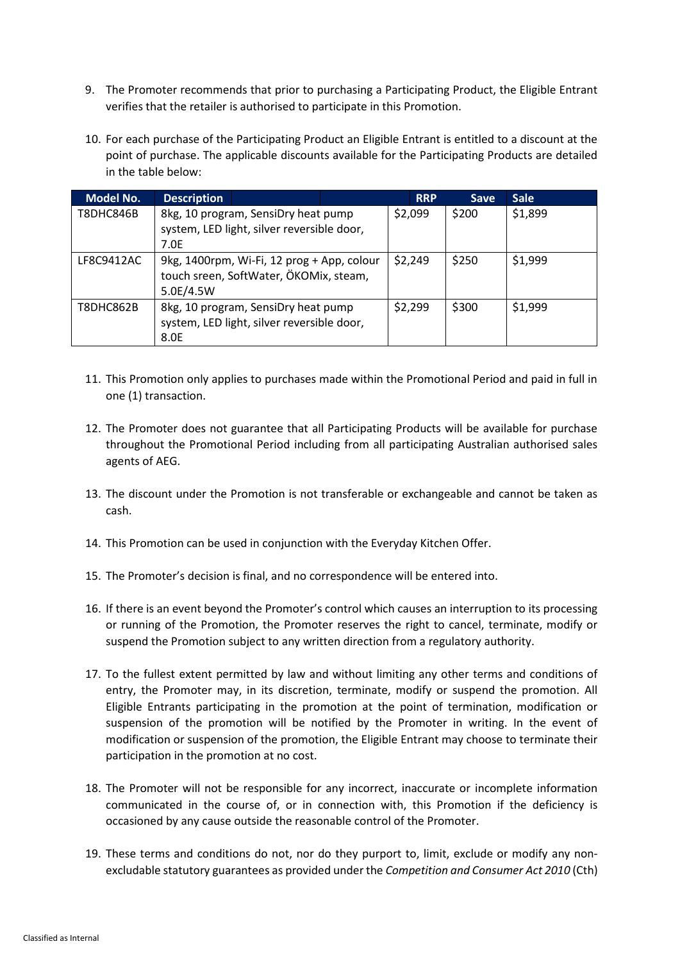- 9. The Promoter recommends that prior to purchasing a Participating Product, the Eligible Entrant verifies that the retailer is authorised to participate in this Promotion.
- 10. For each purchase of the Participating Product an Eligible Entrant is entitled to a discount at the point of purchase. The applicable discounts available for the Participating Products are detailed in the table below:

| <b>Model No.</b> | <b>Description</b>                                                                   |                                            |         |  | <b>RRP</b> | <b>Save</b> | <b>Sale</b> |
|------------------|--------------------------------------------------------------------------------------|--------------------------------------------|---------|--|------------|-------------|-------------|
| T8DHC846B        | 8kg, 10 program, SensiDry heat pump                                                  |                                            |         |  | \$2,099    | \$200       | \$1,899     |
|                  | system, LED light, silver reversible door,<br>7.0E                                   |                                            |         |  |            |             |             |
|                  |                                                                                      |                                            |         |  |            |             |             |
| LF8C9412AC       | 9kg, 1400rpm, Wi-Fi, 12 prog + App, colour<br>touch sreen, SoftWater, ÖKOMix, steam, |                                            |         |  | \$2,249    | \$250       | \$1,999     |
|                  |                                                                                      |                                            |         |  |            |             |             |
|                  | 5.0E/4.5W                                                                            |                                            |         |  |            |             |             |
| T8DHC862B        | 8kg, 10 program, SensiDry heat pump                                                  |                                            | \$2,299 |  | \$300      | \$1,999     |             |
|                  |                                                                                      | system, LED light, silver reversible door, |         |  |            |             |             |
|                  | 8.0E                                                                                 |                                            |         |  |            |             |             |

- 11. This Promotion only applies to purchases made within the Promotional Period and paid in full in one (1) transaction.
- 12. The Promoter does not guarantee that all Participating Products will be available for purchase throughout the Promotional Period including from all participating Australian authorised sales agents of AEG.
- 13. The discount under the Promotion is not transferable or exchangeable and cannot be taken as cash.
- 14. This Promotion can be used in conjunction with the Everyday Kitchen Offer.
- 15. The Promoter's decision is final, and no correspondence will be entered into.
- 16. If there is an event beyond the Promoter's control which causes an interruption to its processing or running of the Promotion, the Promoter reserves the right to cancel, terminate, modify or suspend the Promotion subject to any written direction from a regulatory authority.
- 17. To the fullest extent permitted by law and without limiting any other terms and conditions of entry, the Promoter may, in its discretion, terminate, modify or suspend the promotion. All Eligible Entrants participating in the promotion at the point of termination, modification or suspension of the promotion will be notified by the Promoter in writing. In the event of modification or suspension of the promotion, the Eligible Entrant may choose to terminate their participation in the promotion at no cost.
- 18. The Promoter will not be responsible for any incorrect, inaccurate or incomplete information communicated in the course of, or in connection with, this Promotion if the deficiency is occasioned by any cause outside the reasonable control of the Promoter.
- 19. These terms and conditions do not, nor do they purport to, limit, exclude or modify any nonexcludable statutory guarantees as provided under the *Competition and Consumer Act 2010* (Cth)